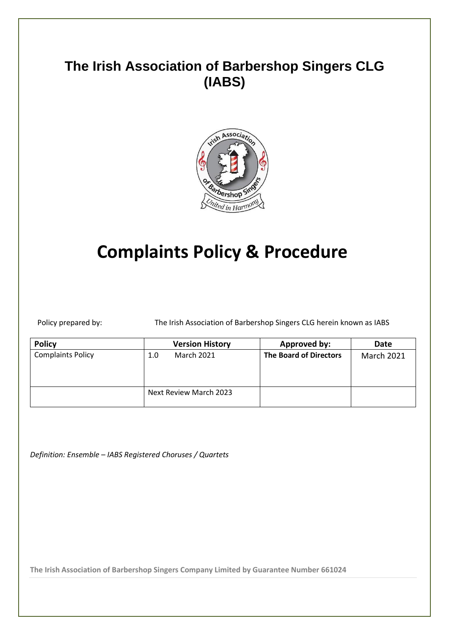## **The Irish Association of Barbershop Singers CLG (IABS)**



# **Complaints Policy & Procedure**

Policy prepared by: The Irish Association of Barbershop Singers CLG herein known as IABS

| <b>Policy</b>            | <b>Version History</b>   | <b>Approved by:</b>           | Date              |
|--------------------------|--------------------------|-------------------------------|-------------------|
| <b>Complaints Policy</b> | <b>March 2021</b><br>1.0 | <b>The Board of Directors</b> | <b>March 2021</b> |
|                          | Next Review March 2023   |                               |                   |

*Definition: Ensemble – IABS Registered Choruses / Quartets*

**The Irish Association of Barbershop Singers Company Limited by Guarantee Number 661024**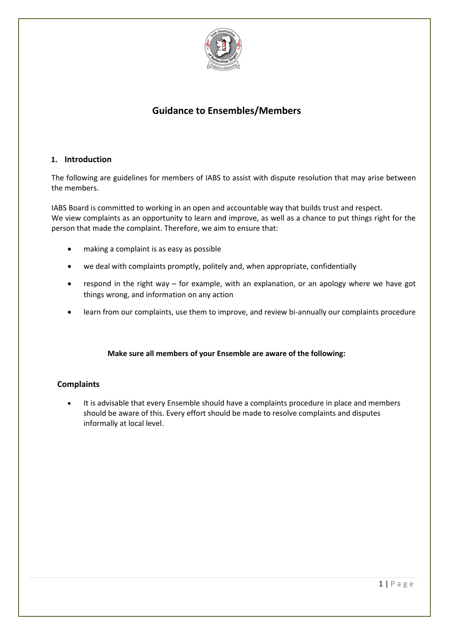

### **Guidance to Ensembles/Members**

#### **1. Introduction**

The following are guidelines for members of IABS to assist with dispute resolution that may arise between the members.

IABS Board is committed to working in an open and accountable way that builds trust and respect. We view complaints as an opportunity to learn and improve, as well as a chance to put things right for the person that made the complaint. Therefore, we aim to ensure that:

- making a complaint is as easy as possible
- we deal with complaints promptly, politely and, when appropriate, confidentially
- respond in the right way for example, with an explanation, or an apology where we have got things wrong, and information on any action
- learn from our complaints, use them to improve, and review bi-annually our complaints procedure

#### **Make sure all members of your Ensemble are aware of the following:**

#### **Complaints**

• It is advisable that every Ensemble should have a complaints procedure in place and members should be aware of this. Every effort should be made to resolve complaints and disputes informally at local level.